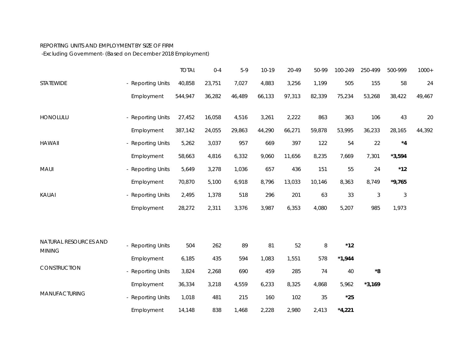## REPORTING UNITS AND EMPLOYMENT BY SIZE OF FIRM

-Excluding Government- (Based on December 2018 Employment)

|                                        |                   | <b>TOTAL</b> | $0 - 4$ | $5-9$  | $10-19$ | 20-49  | 50-99  | 100-249      | 250-499        | 500-999     | $1000+$ |
|----------------------------------------|-------------------|--------------|---------|--------|---------|--------|--------|--------------|----------------|-------------|---------|
| STATEWIDE                              | - Reporting Units | 40,858       | 23,751  | 7,027  | 4,883   | 3,256  | 1,199  | 505          | 155            | 58          | 24      |
|                                        | Employment        | 544,947      | 36,282  | 46,489 | 66,133  | 97,313 | 82,339 | 75,234       | 53,268         | 38,422      | 49,467  |
| HONOLULU                               | - Reporting Units | 27,452       | 16,058  | 4,516  | 3,261   | 2,222  | 863    | 363          | 106            | 43          | 20      |
|                                        | Employment        | 387,142      | 24,055  | 29,863 | 44,290  | 66,271 | 59,878 | 53,995       | 36,233         | 28,165      | 44,392  |
| <b>HAWAII</b>                          | - Reporting Units | 5,262        | 3,037   | 957    | 669     | 397    | 122    | 54           | 22             | $^{\star}4$ |         |
|                                        | Employment        | 58,663       | 4,816   | 6,332  | 9,060   | 11,656 | 8,235  | 7,669        | 7,301          | $*3,594$    |         |
| <b>MAUI</b>                            | - Reporting Units | 5,649        | 3,278   | 1,036  | 657     | 436    | 151    | 55           | 24             | $*12$       |         |
|                                        | Employment        | 70,870       | 5,100   | 6,918  | 8,796   | 13,033 | 10,146 | 8,363        | 8,749          | $*9,765$    |         |
| KAUAI                                  | - Reporting Units | 2,495        | 1,378   | 518    | 296     | 201    | 63     | 33           | $\mathfrak{Z}$ | $\sqrt{3}$  |         |
|                                        | Employment        | 28,272       | 2,311   | 3,376  | 3,987   | 6,353  | 4,080  | 5,207        | 985            | 1,973       |         |
|                                        |                   |              |         |        |         |        |        |              |                |             |         |
| NATURAL RESOURCES AND<br><b>MINING</b> | - Reporting Units | 504          | 262     | 89     | 81      | 52     | $\, 8$ | $*12$        |                |             |         |
|                                        | Employment        | 6,185        | 435     | 594    | 1,083   | 1,551  | 578    | $*1,944$     |                |             |         |
| CONSTRUCTION                           | - Reporting Units | 3,824        | 2,268   | 690    | 459     | 285    | 74     | 40           | $^{\ast}8$     |             |         |
|                                        | Employment        | 36,334       | 3,218   | 4,559  | 6,233   | 8,325  | 4,868  | 5,962        | $*3,169$       |             |         |
| <b>MANUFACTURING</b>                   | - Reporting Units | 1,018        | 481     | 215    | 160     | 102    | 35     | $^{\star}25$ |                |             |         |
|                                        | Employment        | 14,148       | 838     | 1,468  | 2,228   | 2,980  | 2,413  | $*4,221$     |                |             |         |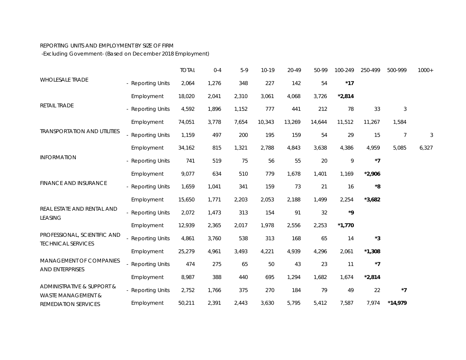## REPORTING UNITS AND EMPLOYMENT BY SIZE OF FIRM

-Excluding Government- (Based on December 2018 Employment)

|                                                             |                   | <b>TOTAL</b> | $0 - 4$ | $5-9$ | $10-19$ | 20-49  | 50-99  | 100-249                  | 250-499     | 500-999        | $1000+$ |
|-------------------------------------------------------------|-------------------|--------------|---------|-------|---------|--------|--------|--------------------------|-------------|----------------|---------|
| <b>WHOLESALE TRADE</b>                                      | - Reporting Units | 2,064        | 1,276   | 348   | 227     | 142    | 54     | $*17$                    |             |                |         |
| RETAIL TRADE                                                | Employment        | 18,020       | 2,041   | 2,310 | 3,061   | 4,068  | 3,726  | $*2,814$                 |             |                |         |
|                                                             | - Reporting Units | 4,592        | 1,896   | 1,152 | 777     | 441    | 212    | 78                       | 33          | $\mathfrak{Z}$ |         |
| <b>TRANSPORTATION AND UTILITIES</b>                         | Employment        | 74,051       | 3,778   | 7,654 | 10,343  | 13,269 | 14,644 | 11,512                   | 11,267      | 1,584          |         |
|                                                             | - Reporting Units | 1,159        | 497     | 200   | 195     | 159    | 54     | 29                       | 15          | 7              | 3       |
|                                                             | Employment        | 34,162       | 815     | 1,321 | 2,788   | 4,843  | 3,638  | 4,386                    | 4,959       | 5,085          | 6,327   |
| <b>INFORMATION</b>                                          | - Reporting Units | 741          | 519     | 75    | 56      | 55     | 20     | 9                        | $*7$        |                |         |
| <b>FINANCE AND INSURANCE</b>                                | Employment        | 9,077        | 634     | 510   | 779     | 1,678  | 1,401  | 1,169                    | $*2,906$    |                |         |
|                                                             | - Reporting Units | 1,659        | 1,041   | 341   | 159     | 73     | 21     | 16                       | $^{\star}8$ |                |         |
| REAL ESTATE AND RENTAL AND<br><b>LEASING</b>                | Employment        | 15,650       | 1,771   | 2,203 | 2,053   | 2,188  | 1,499  | 2,254                    | $*3,682$    |                |         |
|                                                             | - Reporting Units | 2,072        | 1,473   | 313   | 154     | 91     | 32     | ${}^{\star}{\mathbf{9}}$ |             |                |         |
|                                                             | Employment        | 12,939       | 2,365   | 2,017 | 1,978   | 2,556  | 2,253  | $*1,770$                 |             |                |         |
| PROFESSIONAL, SCIENTIFIC AND<br><b>TECHNICAL SERVICES</b>   | - Reporting Units | 4,861        | 3,760   | 538   | 313     | 168    | 65     | 14                       | *3          |                |         |
|                                                             | Employment        | 25,279       | 4,961   | 3,493 | 4,221   | 4,939  | 4,296  | 2,061                    | $*1,308$    |                |         |
| MANAGEMENT OF COMPANIES<br>AND ENTERPRISES                  | - Reporting Units | 474          | 275     | 65    | $50\,$  | 43     | 23     | 11                       | $*7$        |                |         |
|                                                             | Employment        | 8,987        | 388     | 440   | 695     | 1,294  | 1,682  | 1,674                    | $*2,814$    |                |         |
| ADMINISTRATIVE & SUPPORT &<br><b>WASTE MANAGEMENT &amp;</b> | - Reporting Units | 2,752        | 1,766   | 375   | 270     | 184    | 79     | 49                       | 22          | $^{\star}7$    |         |
| REMEDIATION SERVICES                                        | Employment        | 50,211       | 2,391   | 2,443 | 3,630   | 5,795  | 5,412  | 7,587                    | 7,974       | $*14,979$      |         |